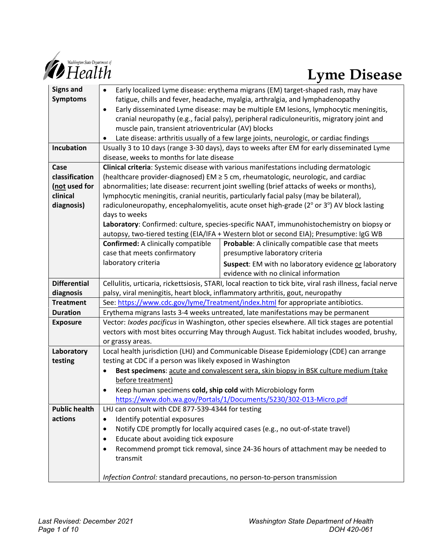

# **Lyme Disease**

| <b>Signs and</b>     | Early localized Lyme disease: erythema migrans (EM) target-shaped rash, may have<br>$\bullet$              |                                                       |
|----------------------|------------------------------------------------------------------------------------------------------------|-------------------------------------------------------|
| <b>Symptoms</b>      | fatigue, chills and fever, headache, myalgia, arthralgia, and lymphadenopathy                              |                                                       |
|                      | Early disseminated Lyme disease: may be multiple EM lesions, lymphocytic meningitis,<br>$\bullet$          |                                                       |
|                      | cranial neuropathy (e.g., facial palsy), peripheral radiculoneuritis, migratory joint and                  |                                                       |
|                      | muscle pain, transient atrioventricular (AV) blocks                                                        |                                                       |
|                      | Late disease: arthritis usually of a few large joints, neurologic, or cardiac findings                     |                                                       |
| Incubation           | Usually 3 to 10 days (range 3-30 days), days to weeks after EM for early disseminated Lyme                 |                                                       |
|                      | disease, weeks to months for late disease                                                                  |                                                       |
| Case                 | Clinical criteria: Systemic disease with various manifestations including dermatologic                     |                                                       |
| classification       | (healthcare provider-diagnosed) EM $\geq$ 5 cm, rheumatologic, neurologic, and cardiac                     |                                                       |
| (not used for        | abnormalities; late disease: recurrent joint swelling (brief attacks of weeks or months),                  |                                                       |
| clinical             | lymphocytic meningitis, cranial neuritis, particularly facial palsy (may be bilateral),                    |                                                       |
| diagnosis)           | radiculoneuropathy, encephalomyelitis, acute onset high-grade (2° or 3°) AV block lasting                  |                                                       |
|                      | days to weeks                                                                                              |                                                       |
|                      | Laboratory: Confirmed: culture, species-specific NAAT, immunohistochemistry on biopsy or                   |                                                       |
|                      | autopsy, two-tiered testing (EIA/IFA + Western blot or second EIA); Presumptive: IgG WB                    |                                                       |
|                      | <b>Confirmed:</b> A clinically compatible                                                                  | Probable: A clinically compatible case that meets     |
|                      | case that meets confirmatory                                                                               | presumptive laboratory criteria                       |
|                      | laboratory criteria                                                                                        | Suspect: EM with no laboratory evidence or laboratory |
|                      |                                                                                                            | evidence with no clinical information                 |
| <b>Differential</b>  | Cellulitis, urticaria, rickettsiosis, STARI, local reaction to tick bite, viral rash illness, facial nerve |                                                       |
| diagnosis            | palsy, viral meningitis, heart block, inflammatory arthritis, gout, neuropathy                             |                                                       |
| <b>Treatment</b>     | See: https://www.cdc.gov/lyme/Treatment/index.html for appropriate antibiotics.                            |                                                       |
| <b>Duration</b>      | Erythema migrans lasts 3-4 weeks untreated, late manifestations may be permanent                           |                                                       |
| <b>Exposure</b>      | Vector: Ixodes pacificus in Washington, other species elsewhere. All tick stages are potential             |                                                       |
|                      | vectors with most bites occurring May through August. Tick habitat includes wooded, brushy,                |                                                       |
|                      | or grassy areas.                                                                                           |                                                       |
| Laboratory           | Local health jurisdiction (LHJ) and Communicable Disease Epidemiology (CDE) can arrange                    |                                                       |
| testing              | testing at CDC if a person was likely exposed in Washington                                                |                                                       |
|                      | Best specimens: acute and convalescent sera, skin biopsy in BSK culture medium (take<br>$\bullet$          |                                                       |
|                      | before treatment)                                                                                          |                                                       |
|                      | Keep human specimens cold, ship cold with Microbiology form<br>$\bullet$                                   |                                                       |
|                      | https://www.doh.wa.gov/Portals/1/Documents/5230/302-013-Micro.pdf                                          |                                                       |
| <b>Public health</b> | LHJ can consult with CDE 877-539-4344 for testing                                                          |                                                       |
| actions              | Identify potential exposures<br>٠                                                                          |                                                       |
|                      | Notify CDE promptly for locally acquired cases (e.g., no out-of-state travel)<br>$\bullet$                 |                                                       |
|                      | Educate about avoiding tick exposure<br>$\bullet$                                                          |                                                       |
|                      | Recommend prompt tick removal, since 24-36 hours of attachment may be needed to                            |                                                       |
|                      | transmit                                                                                                   |                                                       |
|                      |                                                                                                            |                                                       |
|                      | Infection Control: standard precautions, no person-to-person transmission                                  |                                                       |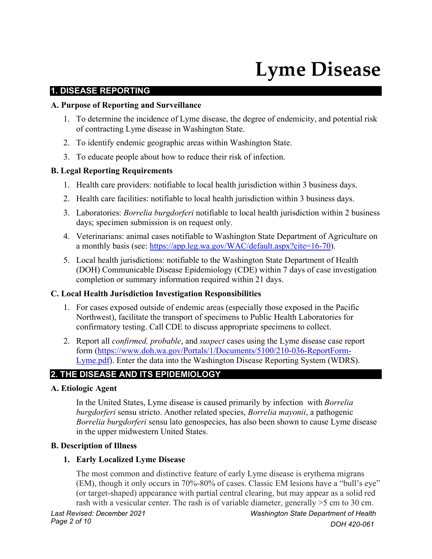# **Lyme Disease**

#### **1. DISEASE REPORTING**

#### **A. Purpose of Reporting and Surveillance**

- 1. To determine the incidence of Lyme disease, the degree of endemicity, and potential risk of contracting Lyme disease in Washington State.
- 2. To identify endemic geographic areas within Washington State.
- 3. To educate people about how to reduce their risk of infection.

#### **B. Legal Reporting Requirements**

- 1. Health care providers: notifiable to local health jurisdiction within 3 business days.
- 2. Health care facilities: notifiable to local health jurisdiction within 3 business days.
- 3. Laboratories: *Borrelia burgdorferi* notifiable to local health jurisdiction within 2 business days; specimen submission is on request only.
- 4. Veterinarians: animal cases notifiable to Washington State Department of Agriculture on a monthly basis (see: [https://app.leg.wa.gov/WAC/default.aspx?cite=16-70\)](https://app.leg.wa.gov/WAC/default.aspx?cite=16-70).
- 5. Local health jurisdictions: notifiable to the Washington State Department of Health (DOH) Communicable Disease Epidemiology (CDE) within 7 days of case investigation completion or summary information required within 21 days.

#### **C. Local Health Jurisdiction Investigation Responsibilities**

- 1. For cases exposed outside of endemic areas (especially those exposed in the Pacific Northwest), facilitate the transport of specimens to Public Health Laboratories for confirmatory testing. Call CDE to discuss appropriate specimens to collect.
- 2. Report all *confirmed, probable*, and *suspect* cases using the Lyme disease case report form [\(https://www.doh.wa.gov/Portals/1/Documents/5100/210-036-ReportForm-](https://www.doh.wa.gov/Portals/1/Documents/5100/210-036-ReportForm-Lyme.pdf)[Lyme.pdf\)](https://www.doh.wa.gov/Portals/1/Documents/5100/210-036-ReportForm-Lyme.pdf). Enter the data into the Washington Disease Reporting System (WDRS).

# **2. THE DISEASE AND ITS EPIDEMIOLOGY**

#### **A. Etiologic Agent**

In the United States, Lyme disease is caused primarily by infection with *Borrelia burgdorferi* sensu stricto. Another related species, *Borrelia mayonii*, a pathogenic *Borrelia burgdorferi* sensu lato genospecies, has also been shown to cause Lyme disease in the upper midwestern United States.

# **B. Description of Illness**

#### **1. Early Localized Lyme Disease**

The most common and distinctive feature of early Lyme disease is erythema migrans (EM), though it only occurs in 70%-80% of cases. Classic EM lesions have a "bull's eye" (or target-shaped) appearance with partial central clearing, but may appear as a solid red rash with a vesicular center. The rash is of variable diameter, generally >5 cm to 30 cm.

*Page 2 of 10* 

*Last Revised: December 2021 Washington State Department of Health DOH 420-061*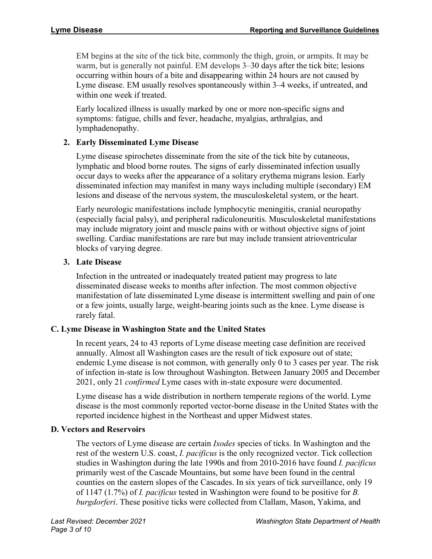EM begins at the site of the tick bite, commonly the thigh, groin, or armpits. It may be warm, but is generally not painful. EM develops 3–30 days after the tick bite; lesions occurring within hours of a bite and disappearing within 24 hours are not caused by Lyme disease. EM usually resolves spontaneously within 3–4 weeks, if untreated, and within one week if treated.

Early localized illness is usually marked by one or more non-specific signs and symptoms: fatigue, chills and fever, headache, myalgias, arthralgias, and lymphadenopathy.

# **2. Early Disseminated Lyme Disease**

Lyme disease spirochetes disseminate from the site of the tick bite by cutaneous, lymphatic and blood borne routes. The signs of early disseminated infection usually occur days to weeks after the appearance of a solitary erythema migrans lesion. Early disseminated infection may manifest in many ways including multiple (secondary) EM lesions and disease of the nervous system, the musculoskeletal system, or the heart.

Early neurologic manifestations include lymphocytic meningitis, cranial neuropathy (especially facial palsy), and peripheral radiculoneuritis. Musculoskeletal manifestations may include migratory joint and muscle pains with or without objective signs of joint swelling. Cardiac manifestations are rare but may include transient atrioventricular blocks of varying degree.

# **3. Late Disease**

Infection in the untreated or inadequately treated patient may progress to late disseminated disease weeks to months after infection. The most common objective manifestation of late disseminated Lyme disease is intermittent swelling and pain of one or a few joints, usually large, weight-bearing joints such as the knee. Lyme disease is rarely fatal.

# **C. Lyme Disease in Washington State and the United States**

In recent years, 24 to 43 reports of Lyme disease meeting case definition are received annually. Almost all Washington cases are the result of tick exposure out of state; endemic Lyme disease is not common, with generally only 0 to 3 cases per year. The risk of infection in-state is low throughout Washington. Between January 2005 and December 2021, only 21 *confirmed* Lyme cases with in-state exposure were documented.

Lyme disease has a wide distribution in northern temperate regions of the world. Lyme disease is the most commonly reported vector-borne disease in the United States with the reported incidence highest in the Northeast and upper Midwest states.

# **D. Vectors and Reservoirs**

The vectors of Lyme disease are certain *Ixodes* species of ticks. In Washington and the rest of the western U.S. coast, *I. pacificus* is the only recognized vector. Tick collection studies in Washington during the late 1990s and from 2010-2016 have found *I. pacificus* primarily west of the Cascade Mountains, but some have been found in the central counties on the eastern slopes of the Cascades. In six years of tick surveillance, only 19 of 1147 (1.7%) of *I. pacificus* tested in Washington were found to be positive for *B. burgdorferi*. These positive ticks were collected from Clallam, Mason, Yakima, and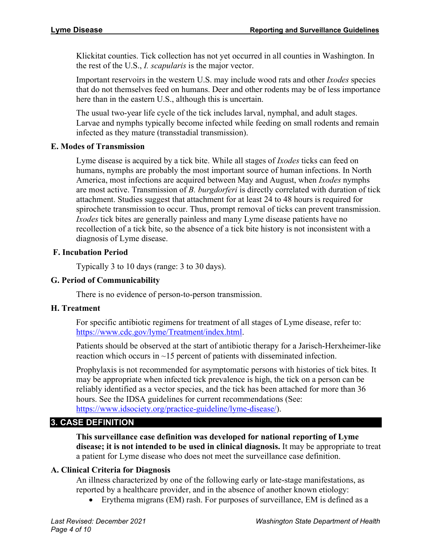Klickitat counties. Tick collection has not yet occurred in all counties in Washington. In the rest of the U.S., *I. scapularis* is the major vector.

Important reservoirs in the western U.S. may include wood rats and other *Ixodes* species that do not themselves feed on humans. Deer and other rodents may be of less importance here than in the eastern U.S., although this is uncertain.

The usual two-year life cycle of the tick includes larval, nymphal, and adult stages. Larvae and nymphs typically become infected while feeding on small rodents and remain infected as they mature (transstadial transmission).

# **E. Modes of Transmission**

Lyme disease is acquired by a tick bite. While all stages of *Ixodes* ticks can feed on humans, nymphs are probably the most important source of human infections. In North America, most infections are acquired between May and August, when *Ixodes* nymphs are most active. Transmission of *B. burgdorferi* is directly correlated with duration of tick attachment. Studies suggest that attachment for at least 24 to 48 hours is required for spirochete transmission to occur. Thus, prompt removal of ticks can prevent transmission. *Ixodes* tick bites are generally painless and many Lyme disease patients have no recollection of a tick bite, so the absence of a tick bite history is not inconsistent with a diagnosis of Lyme disease.

# **F. Incubation Period**

Typically 3 to 10 days (range: 3 to 30 days).

#### **G. Period of Communicability**

There is no evidence of person-to-person transmission.

# **H. Treatment**

For specific antibiotic regimens for treatment of all stages of Lyme disease, refer to: [https://www.cdc.gov/lyme/Treatment/index.html.](https://www.cdc.gov/lyme/Treatment/index.html)

Patients should be observed at the start of antibiotic therapy for a Jarisch-Herxheimer-like reaction which occurs in  $\sim$ 15 percent of patients with disseminated infection.

Prophylaxis is not recommended for asymptomatic persons with histories of tick bites. It may be appropriate when infected tick prevalence is high, the tick on a person can be reliably identified as a vector species, and the tick has been attached for more than 36 hours. See the IDSA guidelines for current recommendations (See: [https://www.idsociety.org/practice-guideline/lyme-disease/\)](https://www.idsociety.org/practice-guideline/lyme-disease/).

# **3. CASE DEFINITION**

**This surveillance case definition was developed for national reporting of Lyme disease; it is not intended to be used in clinical diagnosis.** It may be appropriate to treat a patient for Lyme disease who does not meet the surveillance case definition.

# **A. Clinical Criteria for Diagnosis**

An illness characterized by one of the following early or late-stage manifestations, as reported by a healthcare provider, and in the absence of another known etiology:

• Erythema migrans (EM) rash. For purposes of surveillance, EM is defined as a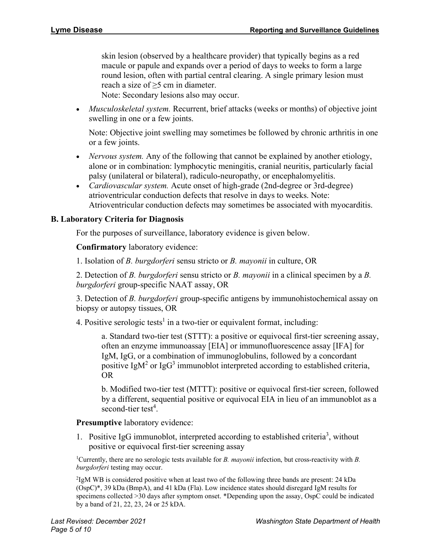skin lesion (observed by a healthcare provider) that typically begins as a red macule or papule and expands over a period of days to weeks to form a large round lesion, often with partial central clearing. A single primary lesion must reach a size of  $\geq$ 5 cm in diameter. Note: Secondary lesions also may occur.

• *Musculoskeletal system.* Recurrent, brief attacks (weeks or months) of objective joint swelling in one or a few joints.

Note: Objective joint swelling may sometimes be followed by chronic arthritis in one or a few joints.

- *Nervous system.* Any of the following that cannot be explained by another etiology, alone or in combination: lymphocytic meningitis, cranial neuritis, particularly facial palsy (unilateral or bilateral), radiculo-neuropathy, or encephalomyelitis.
- *Cardiovascular system.* Acute onset of high-grade (2nd-degree or 3rd-degree) atrioventricular conduction defects that resolve in days to weeks. Note: Atrioventricular conduction defects may sometimes be associated with myocarditis.

# **B. Laboratory Criteria for Diagnosis**

For the purposes of surveillance, laboratory evidence is given below.

**Confirmatory** laboratory evidence:

1. Isolation of *B. burgdorferi* sensu stricto or *B. mayonii* in culture, OR

2. Detection of *B. burgdorferi* sensu stricto or *B. mayonii* in a clinical specimen by a *B. burgdorferi* group-specific NAAT assay, OR

3. Detection of *B. burgdorferi* group-specific antigens by immunohistochemical assay on biopsy or autopsy tissues, OR

4. Positive serologic tests<sup>1</sup> in a two-tier or equivalent format, including:

a. Standard two-tier test (STTT): a positive or equivocal first-tier screening assay, often an enzyme immunoassay [EIA] or immunofluorescence assay [IFA] for IgM, IgG, or a combination of immunoglobulins, followed by a concordant positive IgM<sup>2</sup> or IgG<sup>3</sup> immunoblot interpreted according to established criteria, OR

b. Modified two-tier test (MTTT): positive or equivocal first-tier screen, followed by a different, sequential positive or equivocal EIA in lieu of an immunoblot as a second-tier test<sup>4</sup>.

**Presumptive** laboratory evidence:

1. Positive IgG immunoblot, interpreted according to established criteria<sup>3</sup>, without positive or equivocal first-tier screening assay

1 Currently, there are no serologic tests available for *B. mayonii* infection, but cross-reactivity with *B. burgdorferi* testing may occur.

<sup>2</sup>IgM WB is considered positive when at least two of the following three bands are present: 24 kDa (OspC)\*, 39 kDa (BmpA), and 41 kDa (Fla). Low incidence states should disregard IgM results for specimens collected >30 days after symptom onset. \*Depending upon the assay, OspC could be indicated by a band of 21, 22, 23, 24 or 25 kDA.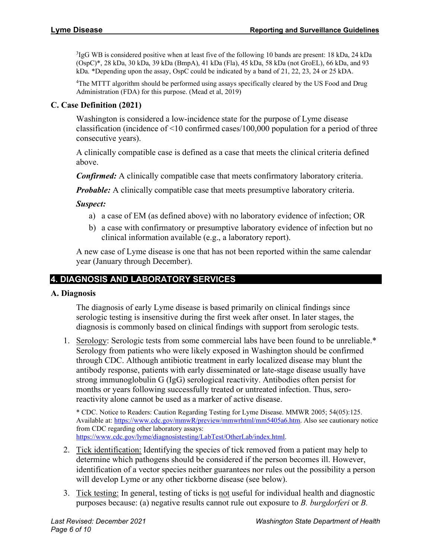<sup>3</sup>IgG WB is considered positive when at least five of the following 10 bands are present: 18 kDa, 24 kDa (OspC)\*, 28 kDa, 30 kDa, 39 kDa (BmpA), 41 kDa (Fla), 45 kDa, 58 kDa (not GroEL), 66 kDa, and 93 kDa. \*Depending upon the assay, OspC could be indicated by a band of 21, 22, 23, 24 or 25 kDA.

<sup>4</sup>The MTTT algorithm should be performed using assays specifically cleared by the US Food and Drug Administration (FDA) for this purpose. (Mead et al, 2019)

# **C. Case Definition (2021)**

Washington is considered a low-incidence state for the purpose of Lyme disease classification (incidence of <10 confirmed cases/100,000 population for a period of three consecutive years).

A clinically compatible case is defined as a case that meets the clinical criteria defined above.

*Confirmed:* A clinically compatible case that meets confirmatory laboratory criteria.

*Probable:* A clinically compatible case that meets presumptive laboratory criteria.

#### *Suspect:*

- a) a case of EM (as defined above) with no laboratory evidence of infection; OR
- b) a case with confirmatory or presumptive laboratory evidence of infection but no clinical information available (e.g., a laboratory report).

A new case of Lyme disease is one that has not been reported within the same calendar year (January through December).

# **4. DIAGNOSIS AND LABORATORY SERVICES**

#### **A. Diagnosis**

The diagnosis of early Lyme disease is based primarily on clinical findings since serologic testing is insensitive during the first week after onset. In later stages, the diagnosis is commonly based on clinical findings with support from serologic tests.

1. Serology: Serologic tests from some commercial labs have been found to be unreliable.\* Serology from patients who were likely exposed in Washington should be confirmed through CDC. Although antibiotic treatment in early localized disease may blunt the antibody response, patients with early disseminated or late-stage disease usually have strong immunoglobulin G (IgG) serological reactivity. Antibodies often persist for months or years following successfully treated or untreated infection. Thus, seroreactivity alone cannot be used as a marker of active disease.

\* CDC. Notice to Readers: Caution Regarding Testing for Lyme Disease. MMWR 2005; 54(05):125. Available at: [https://www.cdc.gov/mmwR/preview/mmwrhtml/mm5405a6.htm.](https://www.cdc.gov/mmwR/preview/mmwrhtml/mm5405a6.htm) Also see cautionary notice from CDC regarding other laboratory assays: [https://www.cdc.gov/lyme/diagnosistesting/LabTest/OtherLab/index.html.](https://www.cdc.gov/lyme/diagnosistesting/LabTest/OtherLab/index.html)

- 2. Tick identification: Identifying the species of tick removed from a patient may help to determine which pathogens should be considered if the person becomes ill. However, identification of a vector species neither guarantees nor rules out the possibility a person will develop Lyme or any other tickborne disease (see below).
- 3. Tick testing: In general, testing of ticks is not useful for individual health and diagnostic purposes because: (a) negative results cannot rule out exposure to *B. burgdorferi* or *B.*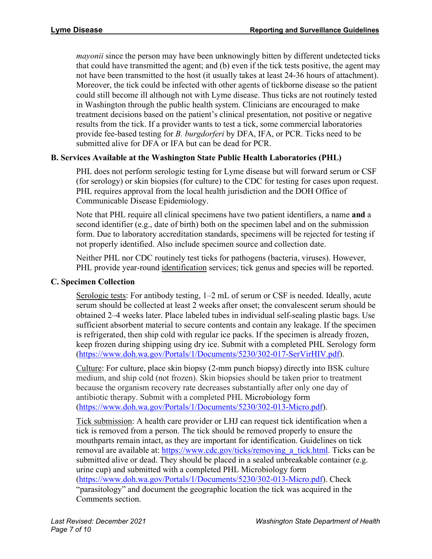*mayonii* since the person may have been unknowingly bitten by different undetected ticks that could have transmitted the agent; and (b) even if the tick tests positive, the agent may not have been transmitted to the host (it usually takes at least 24-36 hours of attachment). Moreover, the tick could be infected with other agents of tickborne disease so the patient could still become ill although not with Lyme disease. Thus ticks are not routinely tested in Washington through the public health system. Clinicians are encouraged to make treatment decisions based on the patient's clinical presentation, not positive or negative results from the tick. If a provider wants to test a tick, some commercial laboratories provide fee-based testing for *B. burgdorferi* by DFA, IFA, or PCR. Ticks need to be submitted alive for DFA or IFA but can be dead for PCR.

# **B. Services Available at the Washington State Public Health Laboratories (PHL)**

PHL does not perform serologic testing for Lyme disease but will forward serum or CSF (for serology) or skin biopsies (for culture) to the CDC for testing for cases upon request. PHL requires approval from the local health jurisdiction and the DOH Office of Communicable Disease Epidemiology.

Note that PHL require all clinical specimens have two patient identifiers, a name **and** a second identifier (e.g., date of birth) both on the specimen label and on the submission form. Due to laboratory accreditation standards, specimens will be rejected for testing if not properly identified. Also include specimen source and collection date.

Neither PHL nor CDC routinely test ticks for pathogens (bacteria, viruses). However, PHL provide year-round identification services; tick genus and species will be reported.

# **C. Specimen Collection**

Serologic tests: For antibody testing, 1–2 mL of serum or CSF is needed. Ideally, acute serum should be collected at least 2 weeks after onset; the convalescent serum should be obtained 2–4 weeks later. Place labeled tubes in individual self-sealing plastic bags. Use sufficient absorbent material to secure contents and contain any leakage. If the specimen is refrigerated, then ship cold with regular ice packs. If the specimen is already frozen, keep frozen during shipping using dry ice. Submit with a completed PHL Serology form [\(https://www.doh.wa.gov/Portals/1/Documents/5230/302-017-SerVirHIV.pdf\)](https://www.doh.wa.gov/Portals/1/Documents/5230/302-017-SerVirHIV.pdf).

Culture: For culture, place skin biopsy (2-mm punch biopsy) directly into BSK culture medium, and ship cold (not frozen). Skin biopsies should be taken prior to treatment because the organism recovery rate decreases substantially after only one day of antibiotic therapy. Submit with a completed PHL Microbiology form [\(https://www.doh.wa.gov/Portals/1/Documents/5230/302-013-Micro.pdf\)](https://www.doh.wa.gov/Portals/1/Documents/5230/302-013-Micro.pdf).

Tick submission: A health care provider or LHJ can request tick identification when a tick is removed from a person. The tick should be removed properly to ensure the mouthparts remain intact, as they are important for identification. Guidelines on tick removal are available at: https://www.cdc.gov/ticks/removing a tick.html. Ticks can be submitted alive or dead. They should be placed in a sealed unbreakable container (e.g. urine cup) and submitted with a completed PHL Microbiology form [\(https://www.doh.wa.gov/Portals/1/Documents/5230/302-013-Micro.pdf\)](https://www.doh.wa.gov/Portals/1/Documents/5230/302-013-Micro.pdf). Check "parasitology" and document the geographic location the tick was acquired in the Comments section.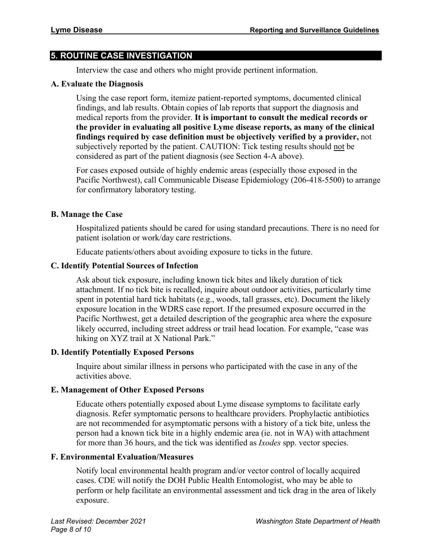# **5. ROUTINE CASE INVESTIGATION**

Interview the case and others who might provide pertinent information.

#### **A. Evaluate the Diagnosis**

Using the case report form, itemize patient-reported symptoms, documented clinical findings, and lab results. Obtain copies of lab reports that support the diagnosis and medical reports from the provider. **It is important to consult the medical records or the provider in evaluating all positive Lyme disease reports, as many of the clinical findings required by case definition must be objectively verified by a provider,** not subjectively reported by the patient. CAUTION: Tick testing results should not be considered as part of the patient diagnosis (see Section 4-A above).

For cases exposed outside of highly endemic areas (especially those exposed in the Pacific Northwest), call Communicable Disease Epidemiology (206-418-5500) to arrange for confirmatory laboratory testing.

# **B. Manage the Case**

Hospitalized patients should be cared for using standard precautions. There is no need for patient isolation or work/day care restrictions.

Educate patients/others about avoiding exposure to ticks in the future.

#### **C. Identify Potential Sources of Infection**

Ask about tick exposure, including known tick bites and likely duration of tick attachment. If no tick bite is recalled, inquire about outdoor activities, particularly time spent in potential hard tick habitats (e.g., woods, tall grasses, etc). Document the likely exposure location in the WDRS case report. If the presumed exposure occurred in the Pacific Northwest, get a detailed description of the geographic area where the exposure likely occurred, including street address or trail head location. For example, "case was hiking on XYZ trail at X National Park."

# **D. Identify Potentially Exposed Persons**

Inquire about similar illness in persons who participated with the case in any of the activities above.

# **E. Management of Other Exposed Persons**

Educate others potentially exposed about Lyme disease symptoms to facilitate early diagnosis. Refer symptomatic persons to healthcare providers. Prophylactic antibiotics are not recommended for asymptomatic persons with a history of a tick bite, unless the person had a known tick bite in a highly endemic area (ie. not in WA) with attachment for more than 36 hours, and the tick was identified as *Ixodes* spp. vector species.

# **F. Environmental Evaluation/Measures**

Notify local environmental health program and/or vector control of locally acquired cases. CDE will notify the DOH Public Health Entomologist, who may be able to perform or help facilitate an environmental assessment and tick drag in the area of likely exposure.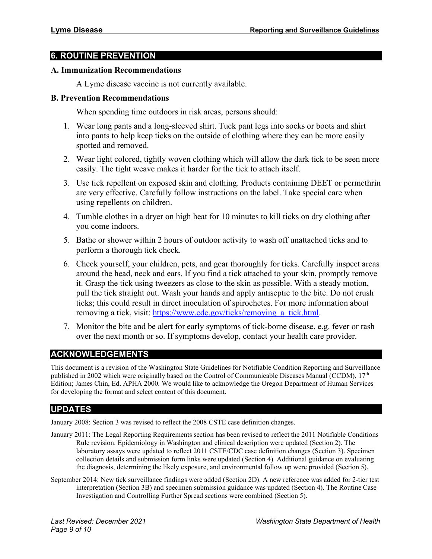# **6. ROUTINE PREVENTION**

#### **A. Immunization Recommendations**

A Lyme disease vaccine is not currently available.

#### **B. Prevention Recommendations**

When spending time outdoors in risk areas, persons should:

- 1. Wear long pants and a long-sleeved shirt. Tuck pant legs into socks or boots and shirt into pants to help keep ticks on the outside of clothing where they can be more easily spotted and removed.
- 2. Wear light colored, tightly woven clothing which will allow the dark tick to be seen more easily. The tight weave makes it harder for the tick to attach itself.
- 3. Use tick repellent on exposed skin and clothing. Products containing DEET or permethrin are very effective. Carefully follow instructions on the label. Take special care when using repellents on children.
- 4. Tumble clothes in a dryer on high heat for 10 minutes to kill ticks on dry clothing after you come indoors.
- 5. Bathe or shower within 2 hours of outdoor activity to wash off unattached ticks and to perform a thorough tick check.
- 6. Check yourself, your children, pets, and gear thoroughly for ticks. Carefully inspect areas around the head, neck and ears. If you find a tick attached to your skin, promptly remove it. Grasp the tick using tweezers as close to the skin as possible. With a steady motion, pull the tick straight out. Wash your hands and apply antiseptic to the bite. Do not crush ticks; this could result in direct inoculation of spirochetes. For more information about removing a tick, visit: https://www.cdc.gov/ticks/removing a tick.html.
- 7. Monitor the bite and be alert for early symptoms of tick-borne disease, e.g. fever or rash over the next month or so. If symptoms develop, contact your health care provider.

# **ACKNOWLEDGEMENTS**

This document is a revision of the Washington State Guidelines for Notifiable Condition Reporting and Surveillance published in 2002 which were originally based on the Control of Communicable Diseases Manual (CCDM), 17th Edition; James Chin, Ed. APHA 2000. We would like to acknowledge the Oregon Department of Human Services for developing the format and select content of this document.

# **UPDATES**

January 2008: Section 3 was revised to reflect the 2008 CSTE case definition changes.

- January 2011: The Legal Reporting Requirements section has been revised to reflect the 2011 Notifiable Conditions Rule revision. Epidemiology in Washington and clinical description were updated (Section 2). The laboratory assays were updated to reflect 2011 CSTE/CDC case definition changes (Section 3). Specimen collection details and submission form links were updated (Section 4). Additional guidance on evaluating the diagnosis, determining the likely exposure, and environmental follow up were provided (Section 5).
- September 2014: New tick surveillance findings were added (Section 2D). A new reference was added for 2-tier test interpretation (Section 3B) and specimen submission guidance was updated (Section 4). The Routine Case Investigation and Controlling Further Spread sections were combined (Section 5).